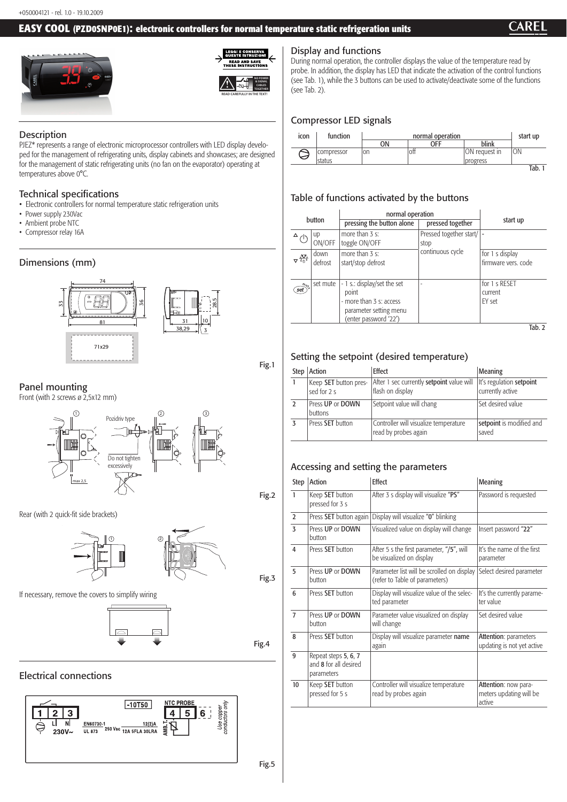#### **EASY COOL (PZD0SNP0E1): electronic controllers for normal temperature static refrigeration units**







#### **Description**

#### Display and functions

During normal operation, the controller displays the value of the temperature read by probe. In addition, the display has LED that indicate the activation of the control functions (see Tab. 1), while the 3 buttons can be used to activate/deactivate some of the functions (see Tab. 2).

# Compressor LED signals



# Table of functions activated by the buttons

| button                                         |                 | normal operation                                                                                                   |                                 |                                        |
|------------------------------------------------|-----------------|--------------------------------------------------------------------------------------------------------------------|---------------------------------|----------------------------------------|
|                                                |                 | pressing the button alone                                                                                          | pressed together                | start up                               |
|                                                | up<br>ON/OFF    | more than 3 s:<br>toggle ON/OFF                                                                                    | Pressed together start/<br>stop |                                        |
| $\Delta \frac{\partial \nabla}{\partial \phi}$ | down<br>defrost | more than 3 s:<br>start/stop defrost                                                                               | continuous cycle                | for 1 s display<br>firmware vers. code |
| $m_{U_{\zeta_0}}$<br>set                       | set mute        | - 1 s.: display/set the set<br>point<br>- more than 3 s: access<br>parameter setting menu<br>(enter password '22') |                                 | for 1 s RESET<br>current<br>FY set     |
|                                                |                 |                                                                                                                    |                                 | Tab. 2                                 |

# Setting the setpoint (desired temperature)

| Step   Action                        | <b>Effect</b>                                                        | <b>Meaning</b>                               |
|--------------------------------------|----------------------------------------------------------------------|----------------------------------------------|
| Keep SET button pres-<br>sed for 2 s | After 1 sec currently <b>setpoint</b> value will<br>flash on display | It's regulation setpoint<br>currently active |
| Press UP or DOWN<br>buttons          | Setpoint value will chang                                            | Set desired value                            |
| Press SET button                     | Controller will visualize temperature<br>read by probes again        | setpoint is modified and<br>saved            |

# Accessing and setting the parameters

| <b>Step</b>    | <b>Action</b>                                               | <b>Effect</b>                                                                | <b>Meaning</b>                                            |  |
|----------------|-------------------------------------------------------------|------------------------------------------------------------------------------|-----------------------------------------------------------|--|
| $\mathbf{1}$   | Keep SET button<br>pressed for 3 s                          | After 3 s display will visualize "PS"                                        | Password is requested                                     |  |
| $\overline{2}$ | Press SET button again                                      | Display will visualize "0" blinking                                          |                                                           |  |
| $\overline{3}$ | Press UP or DOWN<br>button                                  | Visualized value on display will change                                      | Insert password "22"                                      |  |
| 4              | Press SET button                                            | After 5 s the first parameter, "/5", will<br>be visualized on display        | It's the name of the first<br>parameter                   |  |
| 5              | Press UP or DOWN<br>button                                  | Parameter list will be scrolled on display<br>(refer to Table of parameters) | Select desired parameter                                  |  |
| 6              | Press SET button                                            | Display will visualize value of the selec-<br>ted parameter                  | It's the currently parame-<br>ter value                   |  |
| $\overline{7}$ | Press UP or DOWN<br>button                                  | Parameter value visualized on display<br>will change                         | Set desired value                                         |  |
| 8              | Press SET button                                            | Display will visualize parameter name<br>again                               | Attention: parameters<br>updating is not yet active       |  |
| 9              | Repeat steps 5, 6, 7<br>and 8 for all desired<br>parameters |                                                                              |                                                           |  |
| 10             | Keep SET button<br>pressed for 5 s                          | Controller will visualize temperature<br>read by probes again                | Attention: now para-<br>meters updating will be<br>active |  |



PJEZ\* represents a range of electronic microprocessor controllers with LED display developed for the management of refrigerating units, display cabinets and showcases; are designed for the management of static refrigerating units (no fan on the evaporator) operating at temperatures above 0°C.

## Technical specifications

- Electronic controllers for normal temperature static refrigeration units
- Power supply 230Vac
- Ambient probe NTC
- Compressor relay 16A

# Dimensions (mm)



Fig.1

# Panel mounting

Front (with 2 screws ø 2,5x12 mm)



Fig.2

Rear (with 2 quick-fit side brackets)



Fig.3

If necessary, remove the covers to simplify wiring

Fig.4

## Electrical connections



Fig.5